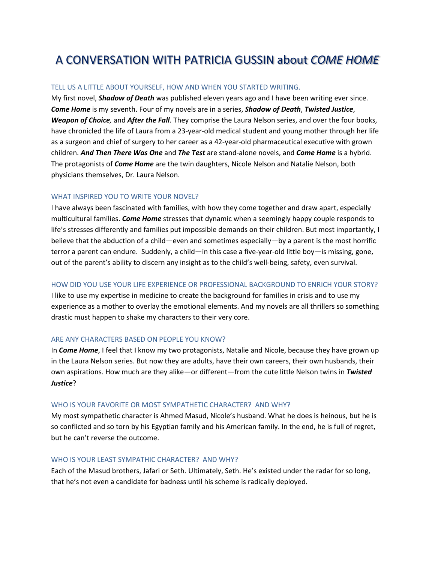# A CONVERSATION WITH PATRICIA GUSSIN about *COME HOME*

### TELL US A LITTLE ABOUT YOURSELF, HOW AND WHEN YOU STARTED WRITING.

My first novel, *Shadow of Death* was published eleven years ago and I have been writing ever since. *Come Home* is my seventh. Four of my novels are in a series, *Shadow of Death*, *Twisted Justice*, *Weapon of Choice,* and *After the Fall*. They comprise the Laura Nelson series, and over the four books, have chronicled the life of Laura from a 23-year-old medical student and young mother through her life as a surgeon and chief of surgery to her career as a 42-year-old pharmaceutical executive with grown children. *And Then There Was One* and *The Test* are stand-alone novels, and *Come Home* is a hybrid. The protagonists of *Come Home* are the twin daughters, Nicole Nelson and Natalie Nelson, both physicians themselves, Dr. Laura Nelson.

#### WHAT INSPIRED YOU TO WRITE YOUR NOVEL?

I have always been fascinated with families, with how they come together and draw apart, especially multicultural families. *Come Home* stresses that dynamic when a seemingly happy couple responds to life's stresses differently and families put impossible demands on their children. But most importantly, I believe that the abduction of a child—even and sometimes especially—by a parent is the most horrific terror a parent can endure. Suddenly, a child—in this case a five-year-old little boy—is missing, gone, out of the parent's ability to discern any insight as to the child's well-being, safety, even survival.

#### HOW DID YOU USE YOUR LIFE EXPERIENCE OR PROFESSIONAL BACKGROUND TO ENRICH YOUR STORY?

I like to use my expertise in medicine to create the background for families in crisis and to use my experience as a mother to overlay the emotional elements. And my novels are all thrillers so something drastic must happen to shake my characters to their very core.

# ARE ANY CHARACTERS BASED ON PEOPLE YOU KNOW?

In *Come Home*, I feel that I know my two protagonists, Natalie and Nicole, because they have grown up in the Laura Nelson series. But now they are adults, have their own careers, their own husbands, their own aspirations. How much are they alike—or different—from the cute little Nelson twins in *Twisted Justice*?

#### WHO IS YOUR FAVORITE OR MOST SYMPATHETIC CHARACTER? AND WHY?

My most sympathetic character is Ahmed Masud, Nicole's husband. What he does is heinous, but he is so conflicted and so torn by his Egyptian family and his American family. In the end, he is full of regret, but he can't reverse the outcome.

#### WHO IS YOUR LEAST SYMPATHIC CHARACTER? AND WHY?

Each of the Masud brothers, Jafari or Seth. Ultimately, Seth. He's existed under the radar for so long, that he's not even a candidate for badness until his scheme is radically deployed.